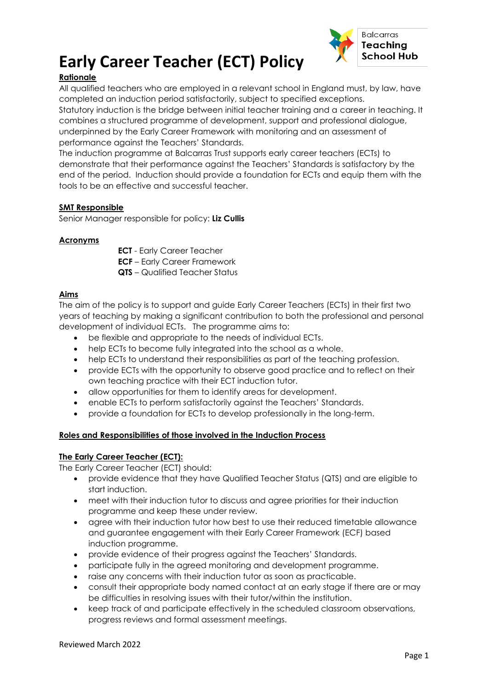



## **Rationale**

All qualified teachers who are employed in a relevant school in England must, by law, have completed an induction period satisfactorily, subject to specified exceptions.

Statutory induction is the bridge between initial teacher training and a career in teaching. It combines a structured programme of development, support and professional dialogue, underpinned by the Early Career Framework with monitoring and an assessment of performance against the Teachers' Standards.

The induction programme at Balcarras Trust supports early career teachers (ECTs) to demonstrate that their performance against the Teachers' Standards is satisfactory by the end of the period. Induction should provide a foundation for ECTs and equip them with the tools to be an effective and successful teacher.

#### **SMT Responsible**

Senior Manager responsible for policy: **Liz Cullis**

#### **Acronyms**

**ECT** - Early Career Teacher

- **ECF** Early Career Framework
- **QTS** Qualified Teacher Status

#### **Aims**

The aim of the policy is to support and guide Early Career Teachers (ECTs) in their first two years of teaching by making a significant contribution to both the professional and personal development of individual ECTs. The programme aims to:

- be flexible and appropriate to the needs of individual ECTs.
- help ECTs to become fully integrated into the school as a whole.
- help ECTs to understand their responsibilities as part of the teaching profession.
- provide ECTs with the opportunity to observe good practice and to reflect on their own teaching practice with their ECT induction tutor.
- allow opportunities for them to identify areas for development.
- enable ECTs to perform satisfactorily against the Teachers' Standards.
- provide a foundation for ECTs to develop professionally in the long-term.

#### **Roles and Responsibilities of those involved in the Induction Process**

#### **The Early Career Teacher (ECT):**

The Early Career Teacher (ECT) should:

- provide evidence that they have Qualified Teacher Status (QTS) and are eligible to start induction.
- meet with their induction tutor to discuss and agree priorities for their induction programme and keep these under review.
- agree with their induction tutor how best to use their reduced timetable allowance and guarantee engagement with their Early Career Framework (ECF) based induction programme.
- provide evidence of their progress against the Teachers' Standards.
- participate fully in the agreed monitoring and development programme.
- raise any concerns with their induction tutor as soon as practicable.
- consult their appropriate body named contact at an early stage if there are or may be difficulties in resolving issues with their tutor/within the institution.
- keep track of and participate effectively in the scheduled classroom observations, progress reviews and formal assessment meetings.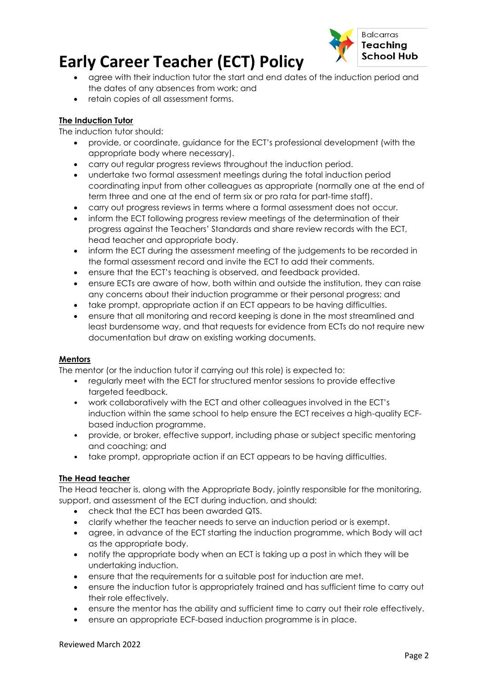# **Early Career Teacher (ECT) Policy**



- agree with their induction tutor the start and end dates of the induction period and the dates of any absences from work; and
- retain copies of all assessment forms.

## **The Induction Tutor**

The induction tutor should:

- provide, or coordinate, guidance for the ECT's professional development (with the appropriate body where necessary).
- carry out regular progress reviews throughout the induction period.
- undertake two formal assessment meetings during the total induction period coordinating input from other colleagues as appropriate (normally one at the end of term three and one at the end of term six or pro rata for part-time staff).
- carry out progress reviews in terms where a formal assessment does not occur.
- inform the ECT following progress review meetings of the determination of their progress against the Teachers' Standards and share review records with the ECT, head teacher and appropriate body.
- inform the ECT during the assessment meeting of the judgements to be recorded in the formal assessment record and invite the ECT to add their comments.
- ensure that the ECT's teaching is observed, and feedback provided.
- ensure ECTs are aware of how, both within and outside the institution, they can raise any concerns about their induction programme or their personal progress; and
- take prompt, appropriate action if an ECT appears to be having difficulties.
- ensure that all monitoring and record keeping is done in the most streamlined and least burdensome way, and that requests for evidence from ECTs do not require new documentation but draw on existing working documents.

#### **Mentors**

The mentor (or the induction tutor if carrying out this role) is expected to:

- regularly meet with the ECT for structured mentor sessions to provide effective targeted feedback.
- work collaboratively with the ECT and other colleagues involved in the ECT's induction within the same school to help ensure the ECT receives a high-quality ECFbased induction programme.
- provide, or broker, effective support, including phase or subject specific mentoring and coaching; and
- take prompt, appropriate action if an ECT appears to be having difficulties.

## **The Head teacher**

The Head teacher is, along with the Appropriate Body, jointly responsible for the monitoring, support, and assessment of the ECT during induction, and should:

- check that the ECT has been awarded QTS.
- clarify whether the teacher needs to serve an induction period or is exempt.
- agree, in advance of the ECT starting the induction programme, which Body will act as the appropriate body.
- notify the appropriate body when an ECT is taking up a post in which they will be undertaking induction.
- ensure that the requirements for a suitable post for induction are met.
- ensure the induction tutor is appropriately trained and has sufficient time to carry out their role effectively.
- ensure the mentor has the ability and sufficient time to carry out their role effectively.
- ensure an appropriate ECF-based induction programme is in place.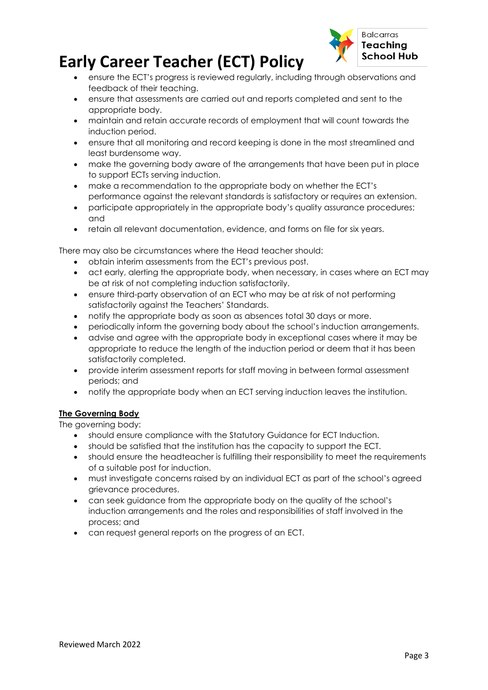# **Early Career Teacher (ECT) Policy**



- ensure the ECT's progress is reviewed regularly, including through observations and feedback of their teaching.
- ensure that assessments are carried out and reports completed and sent to the appropriate body.
- maintain and retain accurate records of employment that will count towards the induction period.
- ensure that all monitoring and record keeping is done in the most streamlined and least burdensome way.
- make the governing body aware of the arrangements that have been put in place to support ECTs serving induction.
- make a recommendation to the appropriate body on whether the ECT's performance against the relevant standards is satisfactory or requires an extension.
- participate appropriately in the appropriate body's quality assurance procedures; and
- retain all relevant documentation, evidence, and forms on file for six years.

There may also be circumstances where the Head teacher should:

- obtain interim assessments from the ECT's previous post.
- act early, alerting the appropriate body, when necessary, in cases where an ECT may be at risk of not completing induction satisfactorily.
- ensure third-party observation of an ECT who may be at risk of not performing satisfactorily against the Teachers' Standards.
- notify the appropriate body as soon as absences total 30 days or more.
- periodically inform the governing body about the school's induction arrangements.
- advise and agree with the appropriate body in exceptional cases where it may be appropriate to reduce the length of the induction period or deem that it has been satisfactorily completed.
- provide interim assessment reports for staff moving in between formal assessment periods; and
- notify the appropriate body when an ECT serving induction leaves the institution.

## **The Governing Body**

The governing body:

- should ensure compliance with the Statutory Guidance for ECT Induction.
- should be satisfied that the institution has the capacity to support the ECT.
- should ensure the headteacher is fulfilling their responsibility to meet the requirements of a suitable post for induction.
- must investigate concerns raised by an individual ECT as part of the school's agreed grievance procedures.
- can seek guidance from the appropriate body on the quality of the school's induction arrangements and the roles and responsibilities of staff involved in the process; and
- can request general reports on the progress of an ECT.